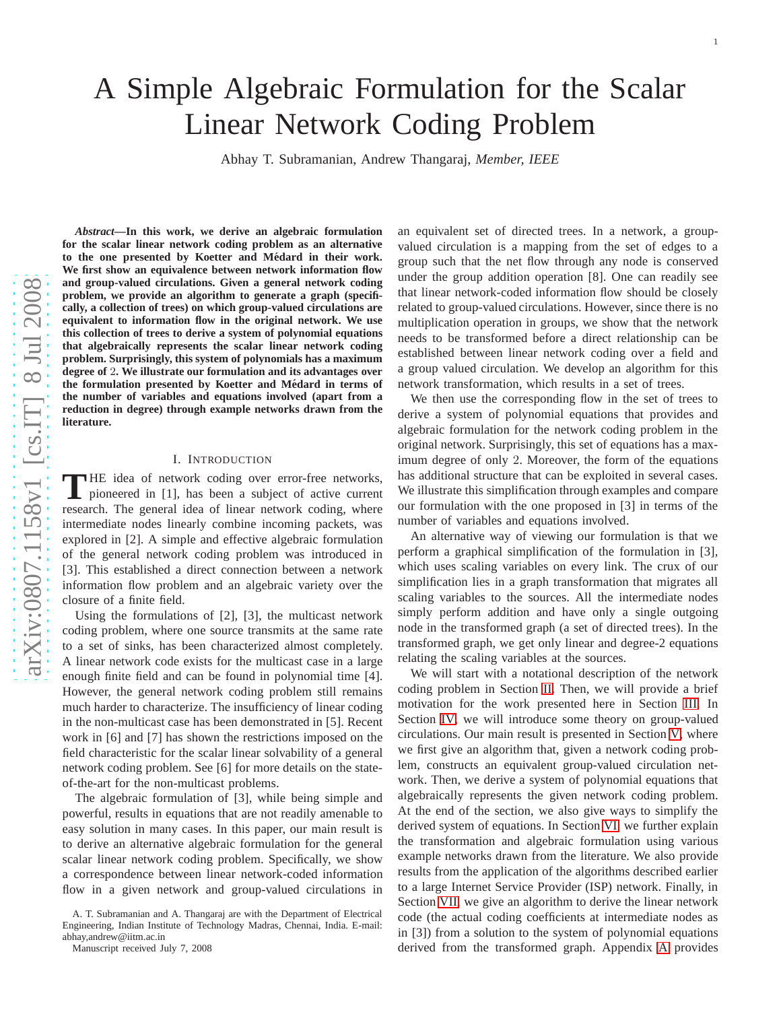# A Simple Algebraic Formulation for the Scalar Linear Network Coding Problem

Abhay T. Subramanian, Andrew Thangaraj, *Member, IEEE*

*Abstract***—In this work, we derive an algebraic formulation for the scalar linear network coding problem as an alternative to the one presented by Koetter and Medard in their work. ´ We first show an equivalence between network information flow and group-valued circulations. Given a general network coding problem, we provide an algorithm to generate a graph (specifi cally, a collection of trees) on which group-valued circulations are equivalent to information flow in the original network. We us e this collection of trees to derive a system of polynomial equations that algebraically represents the scalar linear network coding problem. Surprisingly, this system of polynomials has a maximum degree of** 2**. We illustrate our formulation and its advantages over the formulation presented by Koetter and Medard in terms of ´ the number of variables and equations involved (apart from a reduction in degree) through example networks drawn from th e literature.**

## I. INTRODUCTION

THE idea of network coding over error-free networks,<br>pioneered in [1], has been a subject of active current **NHE** idea of network coding over error-free networks, research. The general idea of linear network coding, where intermediate nodes linearly combine incoming packets, was explored in [2]. A simple and effective algebraic formulation of the general network coding problem was introduced in [3]. This established a direct connection between a network information flow problem and an algebraic variety over the closure of a finite field.

Using the formulations of [2], [3], the multicast network coding problem, where one source transmits at the same rate to a set of sinks, has been characterized almost completely. A linear network code exists for the multicast case in a large enough finite field and can be found in polynomial time [4]. However, the general network coding problem still remains much harder to characterize. The insufficiency of linear coding in the non-multicast case has been demonstrated in [5]. Recent work in [6] and [7] has shown the restrictions imposed on the field characteristic for the scalar linear solvability of a general network coding problem. See [6] for more details on the state of-the-art for the non-multicast problems.

The algebraic formulation of [3], while being simple and powerful, results in equations that are not readily amenable to easy solution in many cases. In this paper, our main result is to derive an alternative algebraic formulation for the general scalar linear network coding problem. Specifically, we show a correspondence between linear network-coded informatio n flow in a given network and group-valued circulations in

Manuscript received July 7, 2008

an equivalent set of directed trees. In a network, a groupvalued circulation is a mapping from the set of edges to a group such that the net flow through any node is conserved under the group addition operation [8]. One can readily see that linear network-coded information flow should be closely related to group-valued circulations. However, since there is no multiplication operation in groups, we show that the networ k needs to be transformed before a direct relationship can be established between linear network coding over a field and a group valued circulation. We develop an algorithm for this network transformation, which results in a set of trees.

We then use the corresponding flow in the set of trees to derive a system of polynomial equations that provides and algebraic formulation for the network coding problem in the original network. Surprisingly, this set of equations has a maximum degree of only 2. Moreover, the form of the equations has additional structure that can be exploited in several cases. We illustrate this simplification through examples and compare our formulation with the one proposed in [3] in terms of the number of variables and equations involved.

An alternative way of viewing our formulation is that we perform a graphical simplification of the formulation in [3] , which uses scaling variables on every link. The crux of our simplification lies in a graph transformation that migrates all scaling variables to the sources. All the intermediate nodes simply perform addition and have only a single outgoing node in the transformed graph (a set of directed trees). In th e transformed graph, we get only linear and degree-2 equation s relating the scaling variables at the sources.

We will start with a notational description of the network coding problem in Section [II.](#page-1-0) Then, we will provide a brief motivation for the work presented here in Section [III.](#page-1-1) In Section [IV,](#page-2-0) we will introduce some theory on group-valued circulations. Our main result is presented in Section [V,](#page-2-1) where we first give an algorithm that, given a network coding problem, constructs an equivalent group-valued circulation network. Then, we derive a system of polynomial equations that algebraically represents the given network coding problem . At the end of the section, we also give ways to simplify the derived system of equations. In Section [VI,](#page-6-0) we further explain the transformation and algebraic formulation using variou s example networks drawn from the literature. We also provide results from the application of the algorithms described earlier to a large Internet Service Provider (ISP) network. Finally, in Section [VII,](#page-8-0) we give an algorithm to derive the linear networ k code (the actual coding coefficients at intermediate nodes a s in [3]) from a solution to the system of polynomial equations derived from the transformed graph. Appendix [A](#page-11-0) provides

A. T. Subramanian and A. Thangaraj are with the Department of Electrical Engineering, Indian Institute of Technology Madras, Chennai, India. E-mail: abhay andrew@iitm.ac.in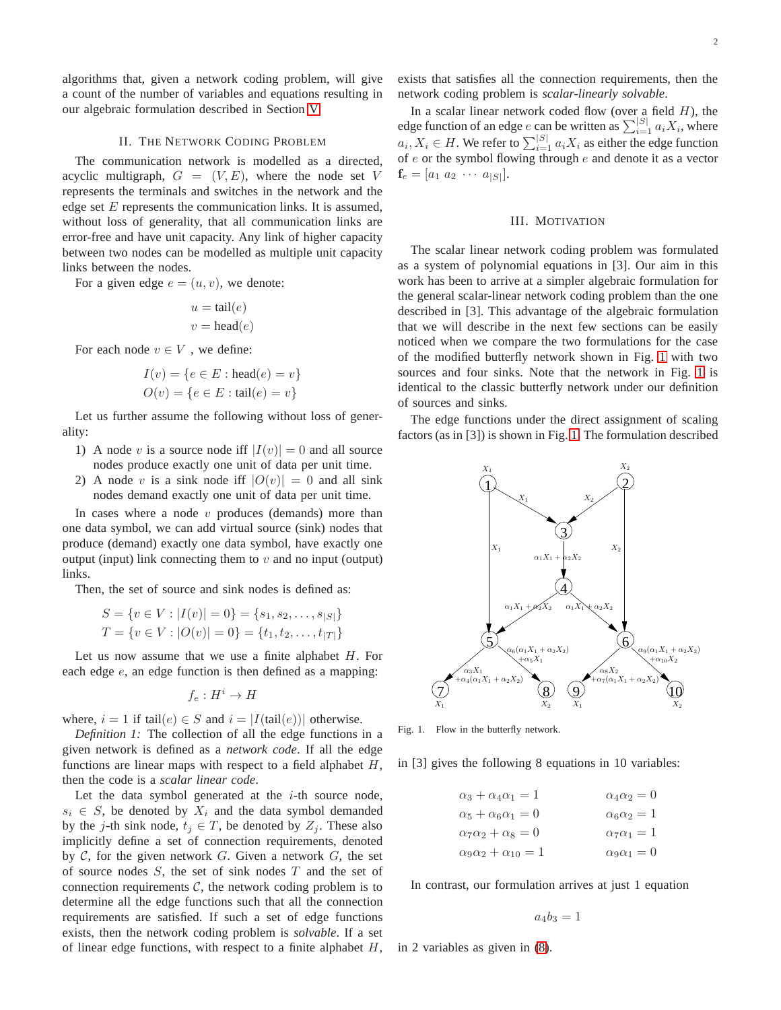algorithms that, given a network coding problem, will give a count of the number of variables and equations resulting in our algebraic formulation described in Section [V.](#page-2-1)

#### II. THE NETWORK CODING PROBLEM

<span id="page-1-0"></span>The communication network is modelled as a directed, acyclic multigraph,  $G = (V, E)$ , where the node set V represents the terminals and switches in the network and the edge set  $E$  represents the communication links. It is assumed, without loss of generality, that all communication links are error-free and have unit capacity. Any link of higher capacity between two nodes can be modelled as multiple unit capacity links between the nodes.

For a given edge  $e = (u, v)$ , we denote:

$$
u = \text{tail}(e)
$$

$$
v = \text{head}(e)
$$

For each node  $v \in V$  , we define:

$$
I(v) = \{e \in E : \text{head}(e) = v\}
$$
  

$$
O(v) = \{e \in E : \text{tail}(e) = v\}
$$

Let us further assume the following without loss of generality:

- 1) A node v is a source node iff  $|I(v)| = 0$  and all source nodes produce exactly one unit of data per unit time.
- 2) A node v is a sink node iff  $|O(v)| = 0$  and all sink nodes demand exactly one unit of data per unit time.

In cases where a node  $v$  produces (demands) more than one data symbol, we can add virtual source (sink) nodes that produce (demand) exactly one data symbol, have exactly one output (input) link connecting them to  $v$  and no input (output) links.

Then, the set of source and sink nodes is defined as:

$$
S = \{v \in V : |I(v)| = 0\} = \{s_1, s_2, \dots, s_{|S|}\}\
$$
  

$$
T = \{v \in V : |O(v)| = 0\} = \{t_1, t_2, \dots, t_{|T|}\}\
$$

Let us now assume that we use a finite alphabet  $H$ . For each edge  $e$ , an edge function is then defined as a mapping:

$$
f_e: H^i \to H
$$

where,  $i = 1$  if tail $(e) \in S$  and  $i = |I(tail(e))|$  otherwise.

*Definition 1:* The collection of all the edge functions in a given network is defined as a *network code*. If all the edge functions are linear maps with respect to a field alphabet  $H$ , then the code is a *scalar linear code*.

Let the data symbol generated at the  $i$ -th source node,  $s_i \in S$ , be denoted by  $X_i$  and the data symbol demanded by the j-th sink node,  $t_j \in T$ , be denoted by  $Z_j$ . These also implicitly define a set of connection requirements, denoted by  $C$ , for the given network  $G$ . Given a network  $G$ , the set of source nodes  $S$ , the set of sink nodes  $T$  and the set of connection requirements  $C$ , the network coding problem is to determine all the edge functions such that all the connection requirements are satisfied. If such a set of edge functions exists, then the network coding problem is *solvable*. If a set of linear edge functions, with respect to a finite alphabet  $H$ , exists that satisfies all the connection requirements, then the network coding problem is *scalar-linearly solvable*.

In a scalar linear network coded flow (over a field  $H$ ), the edge function of an edge e can be written as  $\sum_{i=1}^{|S|} a_i X_i$ , where  $a_i, X_i \in H$ . We refer to  $\sum_{i=1}^{|S|} a_i X_i$  as either the edge function of  $e$  or the symbol flowing through  $e$  and denote it as a vector  $\mathbf{f}_e = [a_1 \ a_2 \ \cdots \ a_{|S|}].$ 

#### III. MOTIVATION

<span id="page-1-1"></span>The scalar linear network coding problem was formulated as a system of polynomial equations in [3]. Our aim in this work has been to arrive at a simpler algebraic formulation for the general scalar-linear network coding problem than the one described in [3]. This advantage of the algebraic formulation that we will describe in the next few sections can be easily noticed when we compare the two formulations for the case of the modified butterfly network shown in Fig. [1](#page-1-2) with two sources and four sinks. Note that the network in Fig. [1](#page-1-2) is identical to the classic butterfly network under our definition of sources and sinks.

The edge functions under the direct assignment of scaling factors (as in [3]) is shown in Fig. [1.](#page-1-2) The formulation described



<span id="page-1-2"></span>Fig. 1. Flow in the butterfly network.

in [3] gives the following 8 equations in 10 variables:

$$
\alpha_3 + \alpha_4 \alpha_1 = 1 \qquad \alpha_4 \alpha_2 = 0
$$
  
\n
$$
\alpha_5 + \alpha_6 \alpha_1 = 0 \qquad \alpha_6 \alpha_2 = 1
$$
  
\n
$$
\alpha_7 \alpha_2 + \alpha_8 = 0 \qquad \alpha_7 \alpha_1 = 1
$$
  
\n
$$
\alpha_9 \alpha_2 + \alpha_{10} = 1 \qquad \alpha_9 \alpha_1 = 0
$$

In contrast, our formulation arrives at just 1 equation

$$
a_4b_3=1
$$

in 2 variables as given in [\(8\)](#page-6-1).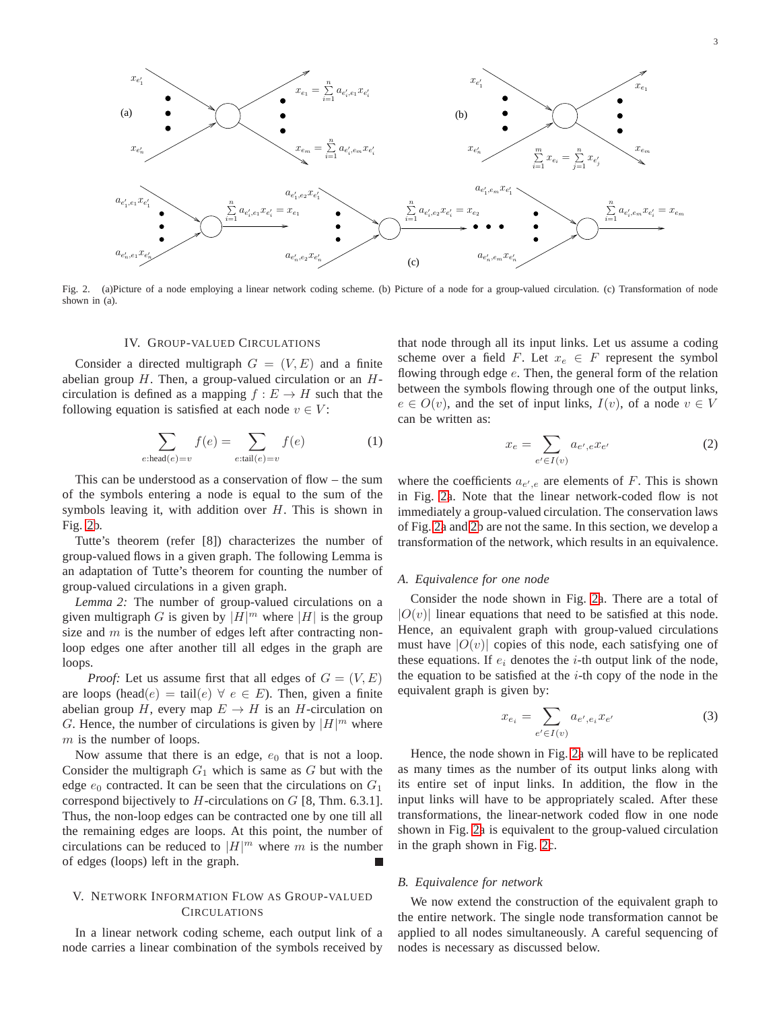

<span id="page-2-2"></span><span id="page-2-0"></span>Fig. 2. (a)Picture of a node employing a linear network coding scheme. (b) Picture of a node for a group-valued circulation. (c) Transformation of node shown in (a).

#### IV. GROUP-VALUED CIRCULATIONS

Consider a directed multigraph  $G = (V, E)$  and a finite abelian group  $H$ . Then, a group-valued circulation or an  $H$ circulation is defined as a mapping  $f : E \to H$  such that the following equation is satisfied at each node  $v \in V$ :

$$
\sum_{e:\text{head}(e)=v} f(e) = \sum_{e:\text{tail}(e)=v} f(e) \tag{1}
$$

This can be understood as a conservation of flow – the sum of the symbols entering a node is equal to the sum of the symbols leaving it, with addition over  $H$ . This is shown in Fig. [2b](#page-2-2).

Tutte's theorem (refer [8]) characterizes the number of group-valued flows in a given graph. The following Lemma is an adaptation of Tutte's theorem for counting the number of group-valued circulations in a given graph.

<span id="page-2-3"></span>*Lemma 2:* The number of group-valued circulations on a given multigraph G is given by  $|H|^m$  where  $|H|$  is the group size and  $m$  is the number of edges left after contracting nonloop edges one after another till all edges in the graph are loops.

*Proof:* Let us assume first that all edges of  $G = (V, E)$ are loops (head(e) = tail(e)  $\forall e \in E$ ). Then, given a finite abelian group H, every map  $E \to H$  is an H-circulation on G. Hence, the number of circulations is given by  $|H|^m$  where  $m$  is the number of loops.

Now assume that there is an edge,  $e_0$  that is not a loop. Consider the multigraph  $G_1$  which is same as  $G$  but with the edge  $e_0$  contracted. It can be seen that the circulations on  $G_1$ correspond bijectively to  $H$ -circulations on  $G$  [8, Thm. 6.3.1]. Thus, the non-loop edges can be contracted one by one till all the remaining edges are loops. At this point, the number of circulations can be reduced to  $|H|^m$  where m is the number of edges (loops) left in the graph.

# <span id="page-2-1"></span>V. NETWORK INFORMATION FLOW AS GROUP-VALUED **CIRCULATIONS**

In a linear network coding scheme, each output link of a node carries a linear combination of the symbols received by

that node through all its input links. Let us assume a coding scheme over a field F. Let  $x_e \in F$  represent the symbol flowing through edge  $e$ . Then, the general form of the relation between the symbols flowing through one of the output links,  $e \in O(v)$ , and the set of input links,  $I(v)$ , of a node  $v \in V$ can be written as:

$$
x_e = \sum_{e' \in I(v)} a_{e',e} x_{e'} \tag{2}
$$

where the coefficients  $a_{e',e}$  are elements of F. This is shown in Fig. [2a](#page-2-2). Note that the linear network-coded flow is not immediately a group-valued circulation. The conservation laws of Fig. [2a](#page-2-2) and [2b](#page-2-2) are not the same. In this section, we develop a transformation of the network, which results in an equivalence.

#### *A. Equivalence for one node*

Consider the node shown in Fig. [2a](#page-2-2). There are a total of  $|O(v)|$  linear equations that need to be satisfied at this node. Hence, an equivalent graph with group-valued circulations must have  $|O(v)|$  copies of this node, each satisfying one of these equations. If  $e_i$  denotes the *i*-th output link of the node, the equation to be satisfied at the  $i$ -th copy of the node in the equivalent graph is given by:

$$
x_{e_i} = \sum_{e' \in I(v)} a_{e', e_i} x_{e'}
$$
 (3)

Hence, the node shown in Fig. [2a](#page-2-2) will have to be replicated as many times as the number of its output links along with its entire set of input links. In addition, the flow in the input links will have to be appropriately scaled. After these transformations, the linear-network coded flow in one node shown in Fig. [2a](#page-2-2) is equivalent to the group-valued circulation in the graph shown in Fig. [2c](#page-2-2).

#### *B. Equivalence for network*

We now extend the construction of the equivalent graph to the entire network. The single node transformation cannot be applied to all nodes simultaneously. A careful sequencing of nodes is necessary as discussed below.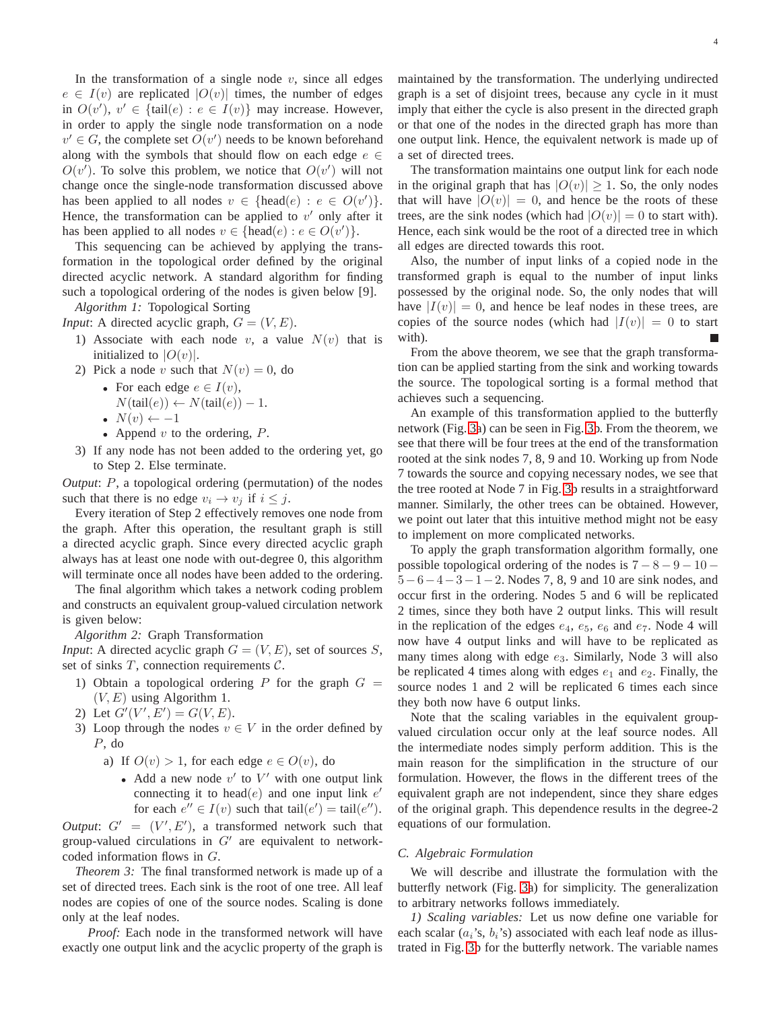In the transformation of a single node  $v$ , since all edges  $e \in I(v)$  are replicated  $|O(v)|$  times, the number of edges in  $O(v')$ ,  $v' \in \{\text{tail}(e) : e \in I(v)\}\$  may increase. However, in order to apply the single node transformation on a node  $v' \in G$ , the complete set  $O(v')$  needs to be known beforehand along with the symbols that should flow on each edge  $e \in$  $O(v')$ . To solve this problem, we notice that  $O(v')$  will not change once the single-node transformation discussed above has been applied to all nodes  $v \in \{\text{head}(e) : e \in O(v')\}.$ Hence, the transformation can be applied to  $v'$  only after it has been applied to all nodes  $v \in \{\text{head}(e) : e \in O(v')\}.$ 

This sequencing can be achieved by applying the transformation in the topological order defined by the original directed acyclic network. A standard algorithm for finding such a topological ordering of the nodes is given below [9].

<span id="page-3-0"></span>*Algorithm 1:* Topological Sorting *Input*: A directed acyclic graph,  $G = (V, E)$ .

- 1) Associate with each node v, a value  $N(v)$  that is initialized to  $|O(v)|$ .
- 2) Pick a node v such that  $N(v) = 0$ , do
	- For each edge  $e \in I(v)$ ,  $N(\text{tail}(e)) \leftarrow N(\text{tail}(e)) - 1.$
	- $N(v) \leftarrow -1$
	- Append  $v$  to the ordering,  $P$ .
- 3) If any node has not been added to the ordering yet, go to Step 2. Else terminate.

*Output*: P, a topological ordering (permutation) of the nodes such that there is no edge  $v_i \rightarrow v_j$  if  $i \leq j$ .

Every iteration of Step 2 effectively removes one node from the graph. After this operation, the resultant graph is still a directed acyclic graph. Since every directed acyclic graph always has at least one node with out-degree 0, this algorithm will terminate once all nodes have been added to the ordering.

The final algorithm which takes a network coding problem and constructs an equivalent group-valued circulation network is given below:

*Algorithm 2:* Graph Transformation

*Input*: A directed acyclic graph  $G = (V, E)$ , set of sources S, set of sinks  $T$ , connection requirements  $C$ .

- 1) Obtain a topological ordering P for the graph  $G =$  $(V, E)$  using Algorithm 1.
- 2) Let  $G'(V', E') = G(V, E)$ .
- 3) Loop through the nodes  $v \in V$  in the order defined by P, do
	- a) If  $O(v) > 1$ , for each edge  $e \in O(v)$ , do
		- Add a new node  $v'$  to  $V'$  with one output link connecting it to head $(e)$  and one input link  $e'$ for each  $e'' \in I(v)$  such that tail $(e') = \text{tail}(e'')$ .

*Output*:  $G' = (V', E')$ , a transformed network such that group-valued circulations in  $G'$  are equivalent to networkcoded information flows in G.

*Theorem 3:* The final transformed network is made up of a set of directed trees. Each sink is the root of one tree. All leaf nodes are copies of one of the source nodes. Scaling is done only at the leaf nodes.

*Proof:* Each node in the transformed network will have exactly one output link and the acyclic property of the graph is maintained by the transformation. The underlying undirected graph is a set of disjoint trees, because any cycle in it must imply that either the cycle is also present in the directed graph or that one of the nodes in the directed graph has more than one output link. Hence, the equivalent network is made up of a set of directed trees.

The transformation maintains one output link for each node in the original graph that has  $|O(v)| \geq 1$ . So, the only nodes that will have  $|O(v)| = 0$ , and hence be the roots of these trees, are the sink nodes (which had  $|O(v)| = 0$  to start with). Hence, each sink would be the root of a directed tree in which all edges are directed towards this root.

Also, the number of input links of a copied node in the transformed graph is equal to the number of input links possessed by the original node. So, the only nodes that will have  $|I(v)| = 0$ , and hence be leaf nodes in these trees, are copies of the source nodes (which had  $|I(v)| = 0$  to start with).

From the above theorem, we see that the graph transformation can be applied starting from the sink and working towards the source. The topological sorting is a formal method that achieves such a sequencing.

An example of this transformation applied to the butterfly network (Fig. [3a](#page-4-0)) can be seen in Fig. [3b](#page-4-0). From the theorem, we see that there will be four trees at the end of the transformation rooted at the sink nodes 7, 8, 9 and 10. Working up from Node 7 towards the source and copying necessary nodes, we see that the tree rooted at Node 7 in Fig. [3b](#page-4-0) results in a straightforward manner. Similarly, the other trees can be obtained. However, we point out later that this intuitive method might not be easy to implement on more complicated networks.

To apply the graph transformation algorithm formally, one possible topological ordering of the nodes is  $7 - 8 - 9 - 10 - 1$  $5-6-4-3-1-2$ . Nodes 7, 8, 9 and 10 are sink nodes, and occur first in the ordering. Nodes 5 and 6 will be replicated 2 times, since they both have 2 output links. This will result in the replication of the edges  $e_4$ ,  $e_5$ ,  $e_6$  and  $e_7$ . Node 4 will now have 4 output links and will have to be replicated as many times along with edge  $e_3$ . Similarly, Node 3 will also be replicated 4 times along with edges  $e_1$  and  $e_2$ . Finally, the source nodes 1 and 2 will be replicated 6 times each since they both now have 6 output links.

Note that the scaling variables in the equivalent groupvalued circulation occur only at the leaf source nodes. All the intermediate nodes simply perform addition. This is the main reason for the simplification in the structure of our formulation. However, the flows in the different trees of the equivalent graph are not independent, since they share edges of the original graph. This dependence results in the degree-2 equations of our formulation.

# <span id="page-3-1"></span>*C. Algebraic Formulation*

We will describe and illustrate the formulation with the butterfly network (Fig. [3a](#page-4-0)) for simplicity. The generalization to arbitrary networks follows immediately.

*1) Scaling variables:* Let us now define one variable for each scalar  $(a_i's, b_i's)$  associated with each leaf node as illustrated in Fig. [3b](#page-4-0) for the butterfly network. The variable names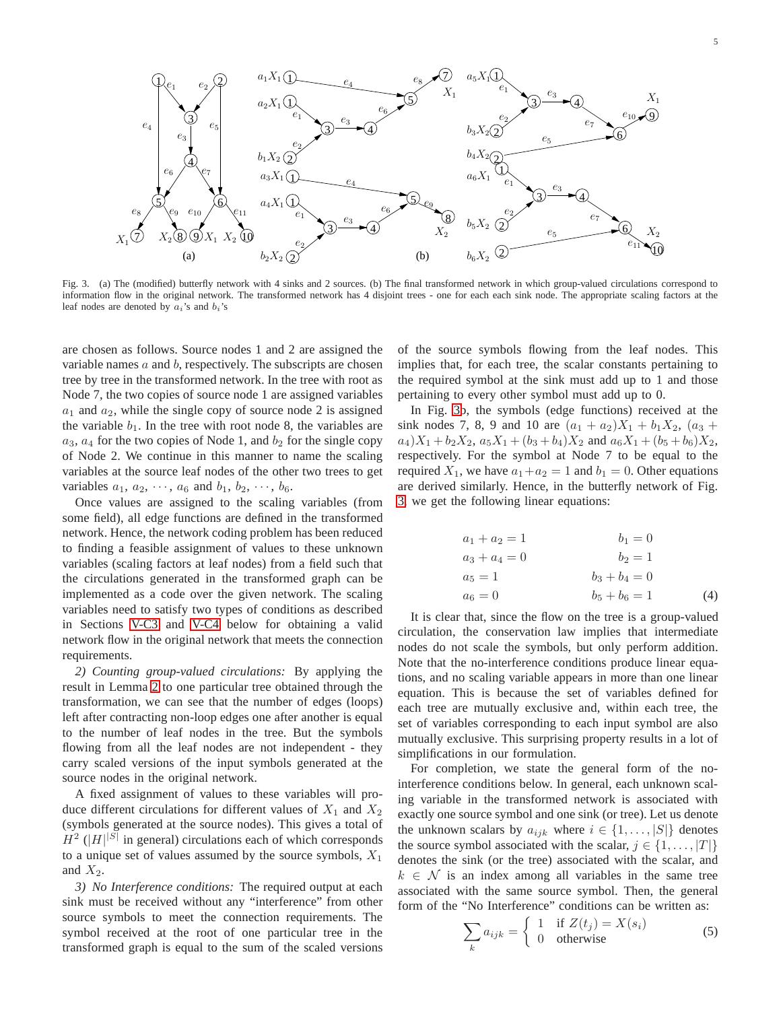

<span id="page-4-0"></span>Fig. 3. (a) The (modified) butterfly network with 4 sinks and 2 sources. (b) The final transformed network in which group-valued circulations correspond to information flow in the original network. The transformed network has 4 disjoint trees - one for each each sink node. The appropriate scaling factors at the leaf nodes are denoted by  $a_i$ 's and  $b_i$ 's

are chosen as follows. Source nodes 1 and 2 are assigned the variable names  $a$  and  $b$ , respectively. The subscripts are chosen tree by tree in the transformed network. In the tree with root as Node 7, the two copies of source node 1 are assigned variables  $a_1$  and  $a_2$ , while the single copy of source node 2 is assigned the variable  $b_1$ . In the tree with root node 8, the variables are  $a_3$ ,  $a_4$  for the two copies of Node 1, and  $b_2$  for the single copy of Node 2. We continue in this manner to name the scaling variables at the source leaf nodes of the other two trees to get variables  $a_1, a_2, \cdots, a_6$  and  $b_1, b_2, \cdots, b_6$ .

Once values are assigned to the scaling variables (from some field), all edge functions are defined in the transformed network. Hence, the network coding problem has been reduced to finding a feasible assignment of values to these unknown variables (scaling factors at leaf nodes) from a field such that the circulations generated in the transformed graph can be implemented as a code over the given network. The scaling variables need to satisfy two types of conditions as described in Sections [V-C3](#page-4-1) and [V-C4](#page-5-0) below for obtaining a valid network flow in the original network that meets the connection requirements.

*2) Counting group-valued circulations:* By applying the result in Lemma [2](#page-2-3) to one particular tree obtained through the transformation, we can see that the number of edges (loops) left after contracting non-loop edges one after another is equal to the number of leaf nodes in the tree. But the symbols flowing from all the leaf nodes are not independent - they carry scaled versions of the input symbols generated at the source nodes in the original network.

A fixed assignment of values to these variables will produce different circulations for different values of  $X_1$  and  $X_2$ (symbols generated at the source nodes). This gives a total of  $H^2$  ( $|H|^{|S|}$  in general) circulations each of which corresponds to a unique set of values assumed by the source symbols,  $X_1$ and  $X_2$ .

<span id="page-4-1"></span>*3) No Interference conditions:* The required output at each sink must be received without any "interference" from other source symbols to meet the connection requirements. The symbol received at the root of one particular tree in the transformed graph is equal to the sum of the scaled versions of the source symbols flowing from the leaf nodes. This implies that, for each tree, the scalar constants pertaining to the required symbol at the sink must add up to 1 and those pertaining to every other symbol must add up to 0.

In Fig. [3b](#page-4-0), the symbols (edge functions) received at the sink nodes 7, 8, 9 and 10 are  $(a_1 + a_2)X_1 + b_1X_2$ ,  $(a_3 + a_2)X_2 + b_2X_3$  $a_4$ ) $X_1 + b_2X_2$ ,  $a_5X_1 + (b_3 + b_4)X_2$  and  $a_6X_1 + (b_5 + b_6)X_2$ , respectively. For the symbol at Node 7 to be equal to the required  $X_1$ , we have  $a_1 + a_2 = 1$  and  $b_1 = 0$ . Other equations are derived similarly. Hence, in the butterfly network of Fig. [3,](#page-4-0) we get the following linear equations:

<span id="page-4-2"></span>
$$
a_1 + a_2 = 1 \n a_3 + a_4 = 0 \n a_5 = 1 \n a_6 = 0
$$
\n
$$
b_1 = 0 \n b_1 = 0 \n b_1 = 0 \n b_2 = 1 \n b_2 = 1 \n b_3 + b_4 = 0 \n b_5 + b_6 = 1
$$
\n(4)

It is clear that, since the flow on the tree is a group-valued circulation, the conservation law implies that intermediate nodes do not scale the symbols, but only perform addition. Note that the no-interference conditions produce linear equations, and no scaling variable appears in more than one linear equation. This is because the set of variables defined for each tree are mutually exclusive and, within each tree, the set of variables corresponding to each input symbol are also mutually exclusive. This surprising property results in a lot of simplifications in our formulation.

For completion, we state the general form of the nointerference conditions below. In general, each unknown scaling variable in the transformed network is associated with exactly one source symbol and one sink (or tree). Let us denote the unknown scalars by  $a_{ijk}$  where  $i \in \{1, \ldots, |S|\}$  denotes the source symbol associated with the scalar,  $j \in \{1, \ldots, |T|\}$ denotes the sink (or the tree) associated with the scalar, and  $k \in \mathcal{N}$  is an index among all variables in the same tree associated with the same source symbol. Then, the general form of the "No Interference" conditions can be written as:

$$
\sum_{k} a_{ijk} = \begin{cases} 1 & \text{if } Z(t_j) = X(s_i) \\ 0 & \text{otherwise} \end{cases}
$$
 (5)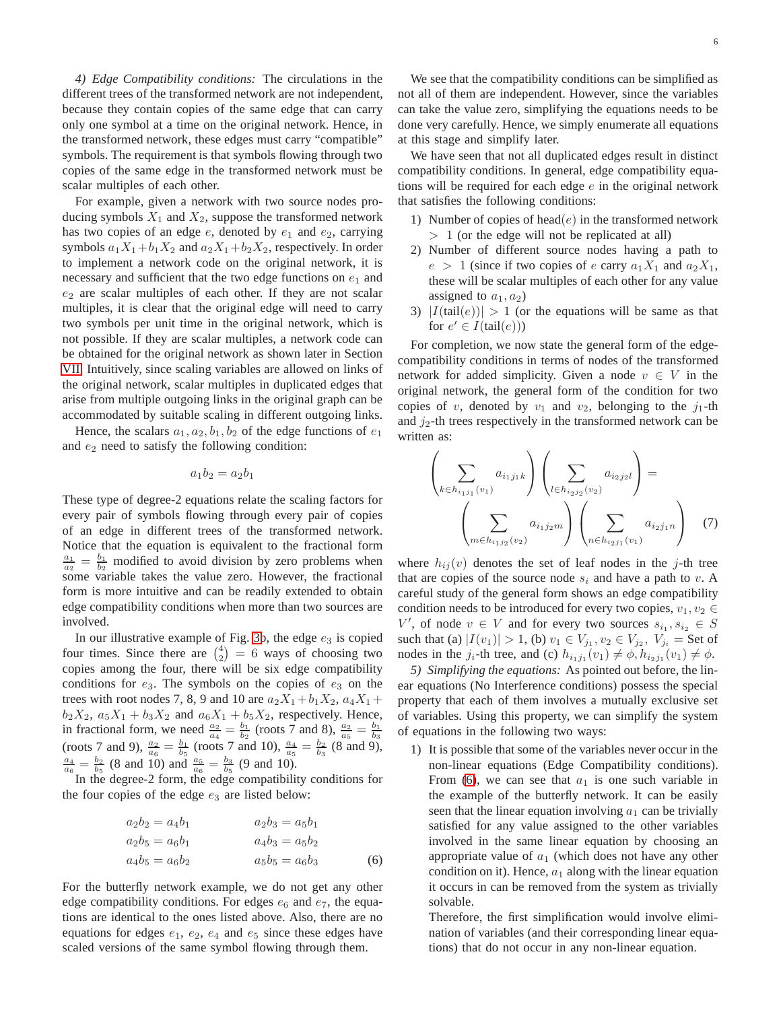<span id="page-5-0"></span>*4) Edge Compatibility conditions:* The circulations in the different trees of the transformed network are not independent, because they contain copies of the same edge that can carry only one symbol at a time on the original network. Hence, in the transformed network, these edges must carry "compatible" symbols. The requirement is that symbols flowing through two copies of the same edge in the transformed network must be scalar multiples of each other.

For example, given a network with two source nodes producing symbols  $X_1$  and  $X_2$ , suppose the transformed network has two copies of an edge  $e$ , denoted by  $e_1$  and  $e_2$ , carrying symbols  $a_1X_1+b_1X_2$  and  $a_2X_1+b_2X_2$ , respectively. In order to implement a network code on the original network, it is necessary and sufficient that the two edge functions on  $e_1$  and  $e_2$  are scalar multiples of each other. If they are not scalar multiples, it is clear that the original edge will need to carry two symbols per unit time in the original network, which is not possible. If they are scalar multiples, a network code can be obtained for the original network as shown later in Section [VII.](#page-8-0) Intuitively, since scaling variables are allowed on links of the original network, scalar multiples in duplicated edges that arise from multiple outgoing links in the original graph can be accommodated by suitable scaling in different outgoing links.

Hence, the scalars  $a_1, a_2, b_1, b_2$  of the edge functions of  $e_1$ and  $e_2$  need to satisfy the following condition:

$$
a_1b_2 = a_2b_1
$$

These type of degree-2 equations relate the scaling factors for every pair of symbols flowing through every pair of copies of an edge in different trees of the transformed network. Notice that the equation is equivalent to the fractional form  $\frac{a_1}{a_2} = \frac{b_1}{b_2}$  modified to avoid division by zero problems when some variable takes the value zero. However, the fractional form is more intuitive and can be readily extended to obtain edge compatibility conditions when more than two sources are involved.

In our illustrative example of Fig. [3b](#page-4-0), the edge  $e_3$  is copied four times. Since there are  $\binom{4}{2} = 6$  ways of choosing two copies among the four, there will be six edge compatibility conditions for  $e_3$ . The symbols on the copies of  $e_3$  on the trees with root nodes 7, 8, 9 and 10 are  $a_2X_1+b_1X_2$ ,  $a_4X_1 +$  $b_2X_2$ ,  $a_5X_1 + b_3X_2$  and  $a_6X_1 + b_5X_2$ , respectively. Hence, in fractional form, we need  $\frac{a_2}{a_4} = \frac{b_1}{b_2}$  (roots 7 and 8),  $\frac{a_2}{a_5} = \frac{b_1}{b_3}$ <br>(roots 7 and 9),  $\frac{a_2}{a_6} = \frac{b_1}{b_5}$  (roots 7 and 10),  $\frac{a_4}{a_5} = \frac{b_2}{b_3}$  (8 and 9),  $\frac{a_4}{a_6} = \frac{b_2}{b_5}$  (8 and 10) and  $\frac{a_5}{a_6} = \frac{b_3}{b_5}$  (9 and 10).

In the degree-2 form, the edge compatibility conditions for the four copies of the edge  $e_3$  are listed below:

$$
a_2b_2 = a_4b_1
$$
  
\n
$$
a_2b_5 = a_6b_1
$$
  
\n
$$
a_4b_5 = a_6b_2
$$
  
\n
$$
a_5b_5 = a_6b_3
$$
  
\n
$$
a_5b_5 = a_6b_3
$$
  
\n(6)

For the butterfly network example, we do not get any other edge compatibility conditions. For edges  $e_6$  and  $e_7$ , the equations are identical to the ones listed above. Also, there are no equations for edges  $e_1$ ,  $e_2$ ,  $e_4$  and  $e_5$  since these edges have scaled versions of the same symbol flowing through them.

We see that the compatibility conditions can be simplified as not all of them are independent. However, since the variables can take the value zero, simplifying the equations needs to be done very carefully. Hence, we simply enumerate all equations at this stage and simplify later.

We have seen that not all duplicated edges result in distinct compatibility conditions. In general, edge compatibility equations will be required for each edge  $e$  in the original network that satisfies the following conditions:

- 1) Number of copies of head $(e)$  in the transformed network  $> 1$  (or the edge will not be replicated at all)
- 2) Number of different source nodes having a path to  $e > 1$  (since if two copies of e carry  $a_1X_1$  and  $a_2X_1$ , these will be scalar multiples of each other for any value assigned to  $a_1, a_2$ )
- 3)  $|I(tail(e))| > 1$  (or the equations will be same as that for  $e' \in I(\text{tail}(e)))$

For completion, we now state the general form of the edgecompatibility conditions in terms of nodes of the transformed network for added simplicity. Given a node  $v \in V$  in the original network, the general form of the condition for two copies of v, denoted by  $v_1$  and  $v_2$ , belonging to the  $j_1$ -th and  $j_2$ -th trees respectively in the transformed network can be written as:

<span id="page-5-2"></span>
$$
\left(\sum_{k \in h_{i_1 j_1}(v_1)} a_{i_1 j_1 k}\right) \left(\sum_{l \in h_{i_2 j_2}(v_2)} a_{i_2 j_2 l}\right) = \left(\sum_{m \in h_{i_1 j_2}(v_2)} a_{i_1 j_2 m}\right) \left(\sum_{n \in h_{i_2 j_1}(v_1)} a_{i_2 j_1 n}\right) \quad (7)
$$

where  $h_{ij}(v)$  denotes the set of leaf nodes in the j-th tree that are copies of the source node  $s_i$  and have a path to v. A careful study of the general form shows an edge compatibility condition needs to be introduced for every two copies,  $v_1, v_2 \in$ V', of node  $v \in V$  and for every two sources  $s_{i_1}, s_{i_2} \in S$ such that (a)  $|I(v_1)| > 1$ , (b)  $v_1 \in V_{j_1}, v_2 \in V_{j_2}, V_{j_i} = \text{Set of }$ nodes in the  $j_i$ -th tree, and (c)  $h_{i_1j_1}(v_1) \neq \emptyset$ ,  $h_{i_2j_1}(v_1) \neq \emptyset$ .

*5) Simplifying the equations:* As pointed out before, the linear equations (No Interference conditions) possess the special property that each of them involves a mutually exclusive set of variables. Using this property, we can simplify the system of equations in the following two ways:

1) It is possible that some of the variables never occur in the non-linear equations (Edge Compatibility conditions). From [\(6\)](#page-5-1), we can see that  $a_1$  is one such variable in the example of the butterfly network. It can be easily seen that the linear equation involving  $a_1$  can be trivially satisfied for any value assigned to the other variables involved in the same linear equation by choosing an appropriate value of  $a_1$  (which does not have any other condition on it). Hence,  $a_1$  along with the linear equation it occurs in can be removed from the system as trivially solvable.

<span id="page-5-1"></span>Therefore, the first simplification would involve elimination of variables (and their corresponding linear equations) that do not occur in any non-linear equation.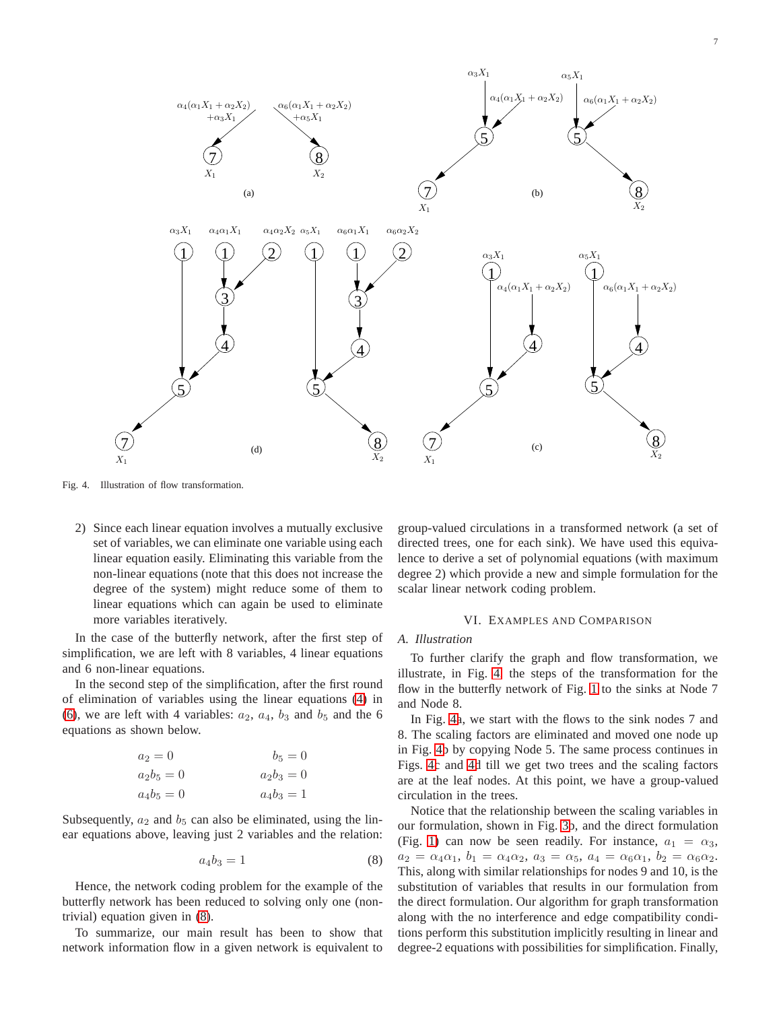

<span id="page-6-2"></span>Fig. 4. Illustration of flow transformation.

2) Since each linear equation involves a mutually exclusive set of variables, we can eliminate one variable using each linear equation easily. Eliminating this variable from the non-linear equations (note that this does not increase the degree of the system) might reduce some of them to linear equations which can again be used to eliminate more variables iteratively.

In the case of the butterfly network, after the first step of simplification, we are left with 8 variables, 4 linear equations and 6 non-linear equations.

In the second step of the simplification, after the first round of elimination of variables using the linear equations [\(4\)](#page-4-2) in [\(6\)](#page-5-1), we are left with 4 variables:  $a_2$ ,  $a_4$ ,  $b_3$  and  $b_5$  and the 6 equations as shown below.

$$
a_2 = 0
$$
  $b_5 = 0$   
\n $a_2b_5 = 0$   $a_2b_3 = 0$   
\n $a_4b_5 = 0$   $a_4b_3 = 1$ 

Subsequently,  $a_2$  and  $b_5$  can also be eliminated, using the linear equations above, leaving just 2 variables and the relation:

<span id="page-6-1"></span>
$$
a_4b_3=1\tag{8}
$$

Hence, the network coding problem for the example of the butterfly network has been reduced to solving only one (nontrivial) equation given in [\(8\)](#page-6-1).

To summarize, our main result has been to show that network information flow in a given network is equivalent to

group-valued circulations in a transformed network (a set of directed trees, one for each sink). We have used this equivalence to derive a set of polynomial equations (with maximum degree 2) which provide a new and simple formulation for the scalar linear network coding problem.

#### VI. EXAMPLES AND COMPARISON

#### <span id="page-6-0"></span>*A. Illustration*

To further clarify the graph and flow transformation, we illustrate, in Fig. [4,](#page-6-2) the steps of the transformation for the flow in the butterfly network of Fig. [1](#page-1-2) to the sinks at Node 7 and Node 8.

In Fig. [4a](#page-6-2), we start with the flows to the sink nodes 7 and 8. The scaling factors are eliminated and moved one node up in Fig. [4b](#page-6-2) by copying Node 5. The same process continues in Figs. [4c](#page-6-2) and [4d](#page-6-2) till we get two trees and the scaling factors are at the leaf nodes. At this point, we have a group-valued circulation in the trees.

Notice that the relationship between the scaling variables in our formulation, shown in Fig. [3b](#page-4-0), and the direct formulation (Fig. [1\)](#page-1-2) can now be seen readily. For instance,  $a_1 = \alpha_3$ ,  $a_2 = \alpha_4 \alpha_1, b_1 = \alpha_4 \alpha_2, a_3 = \alpha_5, a_4 = \alpha_6 \alpha_1, b_2 = \alpha_6 \alpha_2.$ This, along with similar relationships for nodes 9 and 10, is the substitution of variables that results in our formulation from the direct formulation. Our algorithm for graph transformation along with the no interference and edge compatibility conditions perform this substitution implicitly resulting in linear and degree-2 equations with possibilities for simplification. Finally,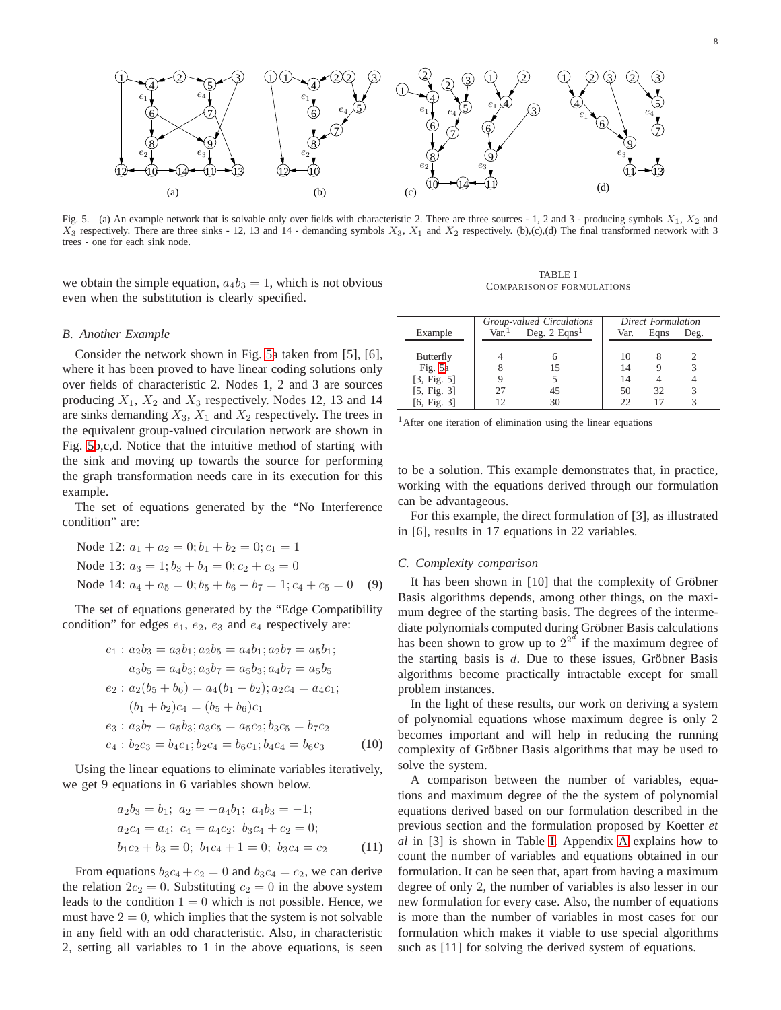

<span id="page-7-0"></span>Fig. 5. (a) An example network that is solvable only over fields with characteristic 2. There are three sources - 1, 2 and 3 - producing symbols  $X_1, X_2$  and  $X_3$  respectively. There are three sinks - 12, 13 and 14 - demanding symbols  $X_3$ ,  $X_1$  and  $X_2$  respectively. (b),(c),(d) The final transformed network with 3 trees - one for each sink node.

we obtain the simple equation,  $a_4b_3 = 1$ , which is not obvious even when the substitution is clearly specified.

<span id="page-7-1"></span>TABLE I COMPARISON OF FORMULATIONS

#### *B. Another Example*

Consider the network shown in Fig. [5a](#page-7-0) taken from [5], [6], where it has been proved to have linear coding solutions only over fields of characteristic 2. Nodes 1, 2 and 3 are sources producing  $X_1$ ,  $X_2$  and  $X_3$  respectively. Nodes 12, 13 and 14 are sinks demanding  $X_3$ ,  $X_1$  and  $X_2$  respectively. The trees in the equivalent group-valued circulation network are shown in Fig. [5b](#page-7-0),c,d. Notice that the intuitive method of starting with the sink and moving up towards the source for performing the graph transformation needs care in its execution for this example.

The set of equations generated by the "No Interference condition" are:

Node 12:  $a_1 + a_2 = 0$ ;  $b_1 + b_2 = 0$ ;  $c_1 = 1$ Node 13:  $a_3 = 1$ ;  $b_3 + b_4 = 0$ ;  $c_2 + c_3 = 0$ Node 14:  $a_4 + a_5 = 0$ ;  $b_5 + b_6 + b_7 = 1$ ;  $c_4 + c_5 = 0$  (9)

The set of equations generated by the "Edge Compatibility condition" for edges  $e_1$ ,  $e_2$ ,  $e_3$  and  $e_4$  respectively are:

$$
e_1: a_2b_3 = a_3b_1; a_2b_5 = a_4b_1; a_2b_7 = a_5b_1;
$$
  
\n
$$
a_3b_5 = a_4b_3; a_3b_7 = a_5b_3; a_4b_7 = a_5b_5
$$
  
\n
$$
e_2: a_2(b_5 + b_6) = a_4(b_1 + b_2); a_2c_4 = a_4c_1;
$$
  
\n
$$
(b_1 + b_2)c_4 = (b_5 + b_6)c_1
$$
  
\n
$$
e_3: a_3b_7 = a_5b_3; a_3c_5 = a_5c_2; b_3c_5 = b_7c_2
$$
  
\n
$$
e_4: b_2c_3 = b_4c_1; b_2c_4 = b_6c_1; b_4c_4 = b_6c_3
$$
 (10)

Using the linear equations to eliminate variables iteratively, we get 9 equations in 6 variables shown below.

$$
a_2b_3 = b_1; a_2 = -a_4b_1; a_4b_3 = -1;
$$
  
\n
$$
a_2c_4 = a_4; c_4 = a_4c_2; b_3c_4 + c_2 = 0;
$$
  
\n
$$
b_1c_2 + b_3 = 0; b_1c_4 + 1 = 0; b_3c_4 = c_2
$$
\n(11)

From equations  $b_3c_4 + c_2 = 0$  and  $b_3c_4 = c_2$ , we can derive the relation  $2c_2 = 0$ . Substituting  $c_2 = 0$  in the above system leads to the condition  $1 = 0$  which is not possible. Hence, we must have  $2 = 0$ , which implies that the system is not solvable in any field with an odd characteristic. Also, in characteristic 2, setting all variables to 1 in the above equations, is seen

|             | Group-valued Circulations |                            | <b>Direct Formulation</b> |      |      |
|-------------|---------------------------|----------------------------|---------------------------|------|------|
| Example     | Var <sup>1</sup>          | Deg. $2$ Eqns <sup>1</sup> | Var.                      | Eans | Deg. |
|             |                           |                            |                           |      |      |
| Butterfly   |                           |                            | 10                        |      |      |
| Fig. 5a     |                           | 15                         | 14                        |      |      |
| [3, Fig. 5] |                           |                            | 14                        |      |      |
| [5, Fig. 3] | 27                        | 45                         | 50                        | 32   |      |
| [6, Fig. 3] |                           | 30                         | 22                        |      |      |

<sup>1</sup>After one iteration of elimination using the linear equations

to be a solution. This example demonstrates that, in practice, working with the equations derived through our formulation can be advantageous.

For this example, the direct formulation of [3], as illustrated in [6], results in 17 equations in 22 variables.

#### *C. Complexity comparison*

It has been shown in  $[10]$  that the complexity of Gröbner Basis algorithms depends, among other things, on the maximum degree of the starting basis. The degrees of the intermediate polynomials computed during Gröbner Basis calculations has been shown to grow up to  $2^{2^d}$  if the maximum degree of the starting basis is  $d$ . Due to these issues, Gröbner Basis algorithms become practically intractable except for small problem instances.

In the light of these results, our work on deriving a system of polynomial equations whose maximum degree is only 2 becomes important and will help in reducing the running complexity of Gröbner Basis algorithms that may be used to solve the system.

A comparison between the number of variables, equations and maximum degree of the the system of polynomial equations derived based on our formulation described in the previous section and the formulation proposed by Koetter *et al* in [3] is shown in Table [I.](#page-7-1) Appendix [A](#page-11-0) explains how to count the number of variables and equations obtained in our formulation. It can be seen that, apart from having a maximum degree of only 2, the number of variables is also lesser in our new formulation for every case. Also, the number of equations is more than the number of variables in most cases for our formulation which makes it viable to use special algorithms such as [11] for solving the derived system of equations.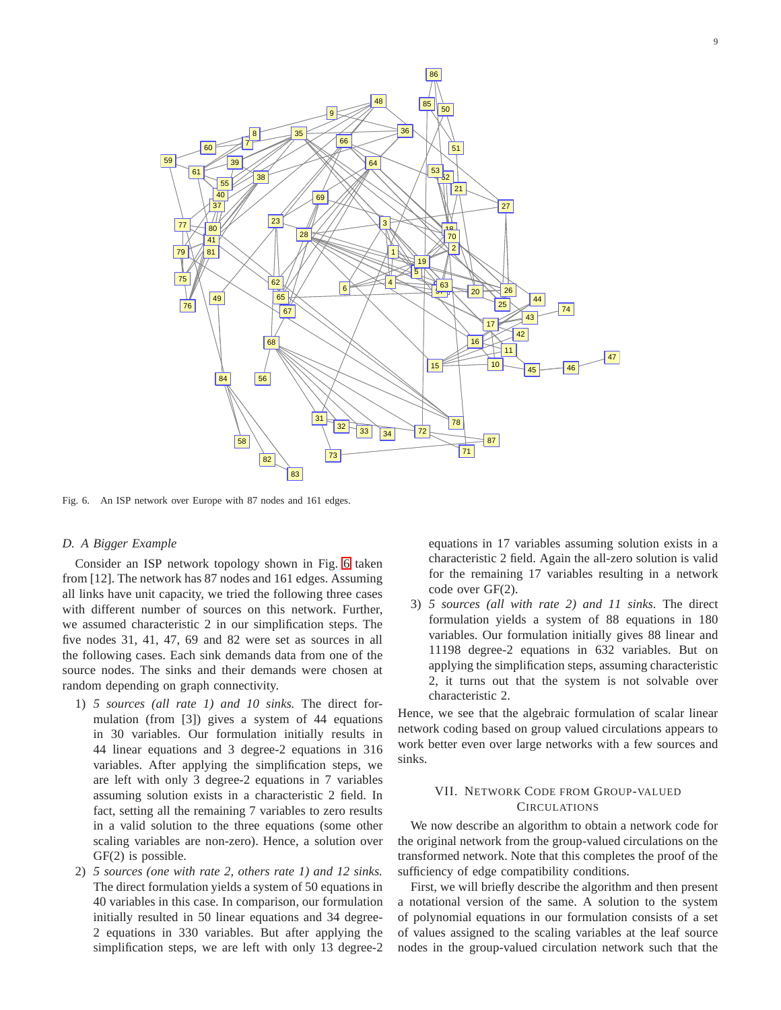

<span id="page-8-1"></span>Fig. 6. An ISP network over Europe with 87 nodes and 161 edges.

#### *D. A Bigger Example*

Consider an ISP network topology shown in Fig. [6](#page-8-1) taken from [12]. The network has 87 nodes and 161 edges. Assuming all links have unit capacity, we tried the following three cases with different number of sources on this network. Further, we assumed characteristic 2 in our simplification steps. The five nodes 31, 41, 47, 69 and 82 were set as sources in all the following cases. Each sink demands data from one of the source nodes. The sinks and their demands were chosen at random depending on graph connectivity.

- 1) *5 sources (all rate 1) and 10 sinks.* The direct formulation (from [3]) gives a system of 44 equations in 30 variables. Our formulation initially results in 44 linear equations and 3 degree-2 equations in 316 variables. After applying the simplification steps, we are left with only 3 degree-2 equations in 7 variables assuming solution exists in a characteristic 2 field. In fact, setting all the remaining 7 variables to zero results in a valid solution to the three equations (some other scaling variables are non-zero). Hence, a solution over GF(2) is possible.
- 2) *5 sources (one with rate 2, others rate 1) and 12 sinks.* The direct formulation yields a system of 50 equations in 40 variables in this case. In comparison, our formulation initially resulted in 50 linear equations and 34 degree-2 equations in 330 variables. But after applying the simplification steps, we are left with only 13 degree-2

equations in 17 variables assuming solution exists in a characteristic 2 field. Again the all-zero solution is valid for the remaining 17 variables resulting in a network code over GF(2).

3) *5 sources (all with rate 2) and 11 sinks.* The direct formulation yields a system of 88 equations in 180 variables. Our formulation initially gives 88 linear and 11198 degree-2 equations in 632 variables. But on applying the simplification steps, assuming characteristic 2, it turns out that the system is not solvable over characteristic 2.

Hence, we see that the algebraic formulation of scalar linear network coding based on group valued circulations appears to work better even over large networks with a few sources and sinks.

# <span id="page-8-0"></span>VII. NETWORK CODE FROM GROUP-VALUED **CIRCULATIONS**

We now describe an algorithm to obtain a network code for the original network from the group-valued circulations on the transformed network. Note that this completes the proof of the sufficiency of edge compatibility conditions.

First, we will briefly describe the algorithm and then present a notational version of the same. A solution to the system of polynomial equations in our formulation consists of a set of values assigned to the scaling variables at the leaf source nodes in the group-valued circulation network such that the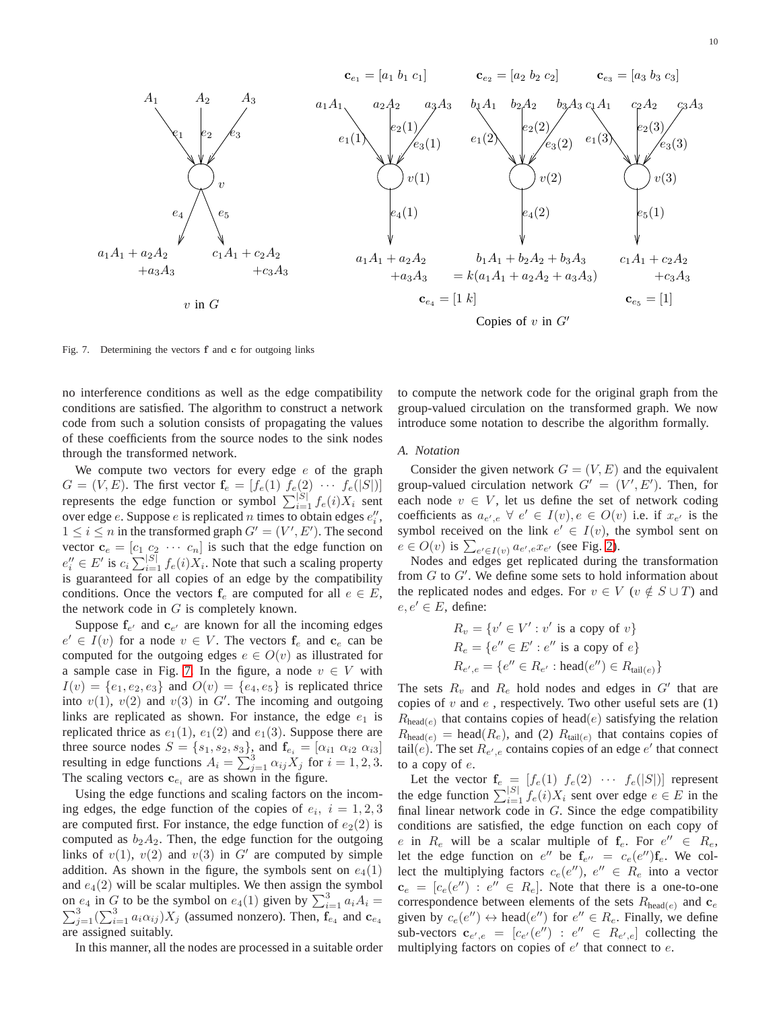

<span id="page-9-0"></span>Fig. 7. Determining the vectors **f** and **c** for outgoing links

no interference conditions as well as the edge compatibility conditions are satisfied. The algorithm to construct a network code from such a solution consists of propagating the values of these coefficients from the source nodes to the sink nodes through the transformed network.

We compute two vectors for every edge  $e$  of the graph  $G = (V, E)$ . The first vector  $f_e = [f_e(1) \ f_e(2) \ \cdots \ f_e(|S|)]$ represents the edge function or symbol  $\sum_{i=1}^{|S|} f_e(i)X_i$  sent over edge *e*. Suppose *e* is replicated *n* times to obtain edges  $e''_i$ ,  $1 \leq i \leq n$  in the transformed graph  $G' = (V', E')$ . The second vector  $\mathbf{c}_e = [c_1 \ c_2 \ \cdots \ c_n]$  is such that the edge function on  $e''_i \in E'$  is  $c_i \sum_{i=1}^{|S|} f_e(i) X_i$ . Note that such a scaling property is guaranteed for all copies of an edge by the compatibility conditions. Once the vectors  $f_e$  are computed for all  $e \in E$ , the network code in  $G$  is completely known.

Suppose  $f_{e'}$  and  $c_{e'}$  are known for all the incoming edges  $e' \in I(v)$  for a node  $v \in V$ . The vectors  $f_e$  and  $c_e$  can be computed for the outgoing edges  $e \in O(v)$  as illustrated for a sample case in Fig. [7.](#page-9-0) In the figure, a node  $v \in V$  with  $I(v) = \{e_1, e_2, e_3\}$  and  $O(v) = \{e_4, e_5\}$  is replicated thrice into  $v(1)$ ,  $v(2)$  and  $v(3)$  in G'. The incoming and outgoing links are replicated as shown. For instance, the edge  $e_1$  is replicated thrice as  $e_1(1)$ ,  $e_1(2)$  and  $e_1(3)$ . Suppose there are three source nodes  $S = \{s_1, s_2, s_3\}$ , and  $\mathbf{f}_{e_i} = [\alpha_{i1} \ \alpha_{i2} \ \alpha_{i3}]$ resulting in edge functions  $A_i = \sum_{j=1}^{3} \alpha_{ij} X_j$  for  $i = 1, 2, 3$ . The scaling vectors  $\mathbf{c}_{e_i}$  are as shown in the figure.

Using the edge functions and scaling factors on the incoming edges, the edge function of the copies of  $e_i$ ,  $i = 1, 2, 3$ are computed first. For instance, the edge function of  $e_2(2)$  is computed as  $b_2A_2$ . Then, the edge function for the outgoing links of  $v(1)$ ,  $v(2)$  and  $v(3)$  in G' are computed by simple addition. As shown in the figure, the symbols sent on  $e_4(1)$ and  $e_4(2)$  will be scalar multiples. We then assign the symbol on  $e_4$  in  $G$  to be the symbol on  $e_4(1)$  given by  $\sum_{i=1}^3 a_i A_i =$  $\sum_{j=1}^{3} (\sum_{i=1}^{3} a_i \alpha_{ij}) X_j$  (assumed nonzero). Then,  $\mathbf{f}_{e_4}$  and  $\mathbf{c}_{e_4}$ are assigned suitably.

In this manner, all the nodes are processed in a suitable order

to compute the network code for the original graph from the group-valued circulation on the transformed graph. We now introduce some notation to describe the algorithm formally.

#### *A. Notation*

Consider the given network  $G = (V, E)$  and the equivalent group-valued circulation network  $G' = (V', E')$ . Then, for each node  $v \in V$ , let us define the set of network coding coefficients as  $a_{e',e} \ \forall \ e' \in I(v), e \in O(v)$  i.e. if  $x_{e'}$  is the symbol received on the link  $e' \in I(v)$ , the symbol sent on  $e \in O(v)$  is  $\sum_{e' \in I(v)} a_{e',e} x_{e'}$  (see Fig. [2\)](#page-2-2).

Nodes and edges get replicated during the transformation from G to G'. We define some sets to hold information about the replicated nodes and edges. For  $v \in V$  ( $v \notin S \cup T$ ) and  $e, e' \in E$ , define:

$$
R_v = \{v' \in V' : v' \text{ is a copy of } v\}
$$
  
\n
$$
R_e = \{e'' \in E' : e'' \text{ is a copy of } e\}
$$
  
\n
$$
R_{e',e} = \{e'' \in R_{e'} : \text{head}(e'') \in R_{\text{tail}(e)}\}
$$

The sets  $R_v$  and  $R_e$  hold nodes and edges in  $G'$  that are copies of  $v$  and  $e$ , respectively. Two other useful sets are  $(1)$  $R_{\text{head}(e)}$  that contains copies of head $(e)$  satisfying the relation  $R_{\text{head}(e)} = \text{head}(R_e)$ , and (2)  $R_{\text{tail}(e)}$  that contains copies of tail $(e)$ . The set  $R_{e',e}$  contains copies of an edge  $e'$  that connect to a copy of e.

Let the vector  $f_e = [f_e(1) \ f_e(2) \ \cdots \ f_e(|S|)]$  represent the edge function  $\sum_{i=1}^{|S|} f_e(i)X_i$  sent over edge  $e \in E$  in the final linear network code in  $G$ . Since the edge compatibility conditions are satisfied, the edge function on each copy of e in  $R_e$  will be a scalar multiple of  $f_e$ . For  $e'' \in R_e$ , let the edge function on  $e''$  be  $\mathbf{f}_{e''} = c_e(e'') \mathbf{f}_e$ . We collect the multiplying factors  $c_e(e'')$ ,  $e'' \in R_e$  into a vector  $\mathbf{c}_e = [c_e(e'') : e'' \in R_e]$ . Note that there is a one-to-one correspondence between elements of the sets  $R_{\text{head}(e)}$  and  $\mathbf{c}_e$ given by  $c_e(e'') \leftrightarrow \text{head}(e'')$  for  $e'' \in R_e$ . Finally, we define sub-vectors  $\mathbf{c}_{e',e} = [c_{e'}(e'') : e'' \in R_{e',e}]$  collecting the multiplying factors on copies of  $e'$  that connect to  $e$ .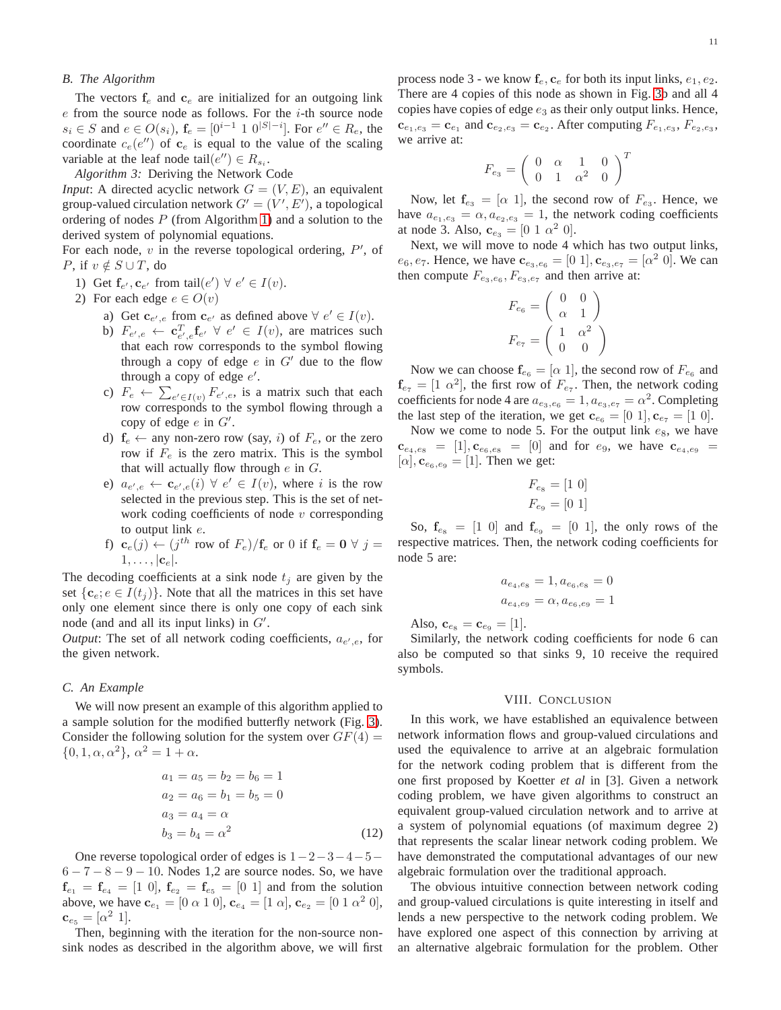#### *B. The Algorithm*

The vectors  $f_e$  and  $c_e$  are initialized for an outgoing link  $e$  from the source node as follows. For the  $i$ -th source node  $s_i \in S$  and  $e \in O(s_i)$ ,  $f_e = [0^{i-1} 1 0^{|S|-i}]$ . For  $e'' \in R_e$ , the coordinate  $c_e(e'')$  of  $c_e$  is equal to the value of the scaling variable at the leaf node tail $(e'') \in R_{s_i}$ .

*Algorithm 3:* Deriving the Network Code

*Input*: A directed acyclic network  $G = (V, E)$ , an equivalent group-valued circulation network  $G' = (V', E')$ , a topological ordering of nodes  $P$  (from Algorithm [1\)](#page-3-0) and a solution to the derived system of polynomial equations.

For each node,  $v$  in the reverse topological ordering,  $P'$ , of *P*, if  $v \notin S \cup T$ , do

- 1) Get  $\mathbf{f}_{e'}, \mathbf{c}_{e'}$  from tail $(e') \ \forall \ e' \in I(v)$ .
- 2) For each edge  $e \in O(v)$ 
	- a) Get  $\mathbf{c}_{e',e}$  from  $\mathbf{c}_{e'}$  as defined above  $\forall e' \in I(v)$ .
	- b)  $F_{e',e} \leftarrow \mathbf{c}_{e',e}^T \mathbf{f}_{e'} \ \forall \ e' \in I(v)$ , are matrices such that each row corresponds to the symbol flowing through a copy of edge  $e$  in  $G'$  due to the flow through a copy of edge  $e'$ .
	- c)  $F_e \leftarrow \sum_{e' \in I(v)} F_{e',e}$ , is a matrix such that each row corresponds to the symbol flowing through a copy of edge  $e$  in  $G'$ .
	- d)  $f_e \leftarrow$  any non-zero row (say, i) of  $F_e$ , or the zero row if  $F_e$  is the zero matrix. This is the symbol that will actually flow through  $e$  in  $G$ .
	- e)  $a_{e',e} \leftarrow \mathbf{c}_{e',e}(i) \ \forall \ e' \in I(v)$ , where i is the row selected in the previous step. This is the set of network coding coefficients of node  $v$  corresponding to output link e.
	- f)  $\mathbf{c}_e(j) \leftarrow (j^{th} \text{ row of } F_e)/\mathbf{f}_e$  or 0 if  $\mathbf{f}_e = \mathbf{0} \ \forall \ j =$  $1, \ldots, |\mathbf{c}_e|.$

The decoding coefficients at a sink node  $t_i$  are given by the set  $\{c_e; e \in I(t_i)\}\$ . Note that all the matrices in this set have only one element since there is only one copy of each sink node (and and all its input links) in  $G'$ .

*Output*: The set of all network coding coefficients,  $a_{e',e}$ , for the given network.

#### *C. An Example*

We will now present an example of this algorithm applied to a sample solution for the modified butterfly network (Fig. [3\)](#page-4-0). Consider the following solution for the system over  $GF(4) =$  $\{0, 1, \alpha, \alpha^2\}, \alpha^2 = 1 + \alpha.$ 

$$
a_1 = a_5 = b_2 = b_6 = 1
$$
  
\n
$$
a_2 = a_6 = b_1 = b_5 = 0
$$
  
\n
$$
a_3 = a_4 = \alpha
$$
  
\n
$$
b_3 = b_4 = \alpha^2
$$
\n(12)

One reverse topological order of edges is  $1-2-3-4-5 6 - 7 - 8 - 9 - 10$ . Nodes 1,2 are source nodes. So, we have  $f_{e_1} = f_{e_4} = [1 \ 0], f_{e_2} = f_{e_5} = [0 \ 1]$  and from the solution above, we have  $\mathbf{c}_{e_1} = [0 \alpha 1 0], \mathbf{c}_{e_4} = [1 \alpha], \mathbf{c}_{e_2} = [0 \ 1 \ \alpha^2 0],$  ${\bf c}_{e_5} = [\alpha^2 \; 1].$ 

Then, beginning with the iteration for the non-source nonsink nodes as described in the algorithm above, we will first process node 3 - we know  $f_e$ ,  $c_e$  for both its input links,  $e_1$ ,  $e_2$ . There are 4 copies of this node as shown in Fig. [3b](#page-4-0) and all 4 copies have copies of edge  $e_3$  as their only output links. Hence,  ${\bf c}_{e_1,e_3}={\bf c}_{e_1}$  and  ${\bf c}_{e_2,e_3}={\bf c}_{e_2}$ . After computing  $F_{e_1,e_3}$ ,  $F_{e_2,e_3}$ , we arrive at:

$$
F_{e_3} = \left(\begin{array}{cccc} 0 & \alpha & 1 & 0 \\ 0 & 1 & \alpha^2 & 0 \end{array}\right)^T
$$

Now, let  $f_{e_3} = [\alpha 1]$ , the second row of  $F_{e_3}$ . Hence, we have  $a_{e_1,e_3} = \alpha, a_{e_2,e_3} = 1$ , the network coding coefficients at node 3. Also,  $\mathbf{c}_{e_3} = [0 \ 1 \ \alpha^2 \ 0].$ 

Next, we will move to node 4 which has two output links,  $e_6, e_7$ . Hence, we have  $\mathbf{c}_{e_3,e_6} = [0 \; 1], \mathbf{c}_{e_3,e_7} = [\alpha^2 \; 0].$  We can then compute  $F_{e_3,e_6}$ ,  $F_{e_3,e_7}$  and then arrive at:

$$
F_{e_6} = \begin{pmatrix} 0 & 0 \\ \alpha & 1 \end{pmatrix}
$$

$$
F_{e_7} = \begin{pmatrix} 1 & \alpha^2 \\ 0 & 0 \end{pmatrix}
$$

Now we can choose  $\mathbf{f}_{e_6} = [\alpha 1]$ , the second row of  $F_{e_6}$  and  $f_{\epsilon_7} = [1 \alpha^2]$ , the first row of  $F_{\epsilon_7}$ . Then, the network coding coefficients for node 4 are  $a_{e_3,e_6} = 1, a_{e_3,e_7} = \alpha^2$ . Completing the last step of the iteration, we get  $\mathbf{c}_{e_6} = [0 \ 1], \mathbf{c}_{e_7} = [1 \ 0].$ 

Now we come to node 5. For the output link  $e_8$ , we have  $c_{e_4,e_8} = [1], c_{e_6,e_8} = [0]$  and for  $e_9$ , we have  $c_{e_4,e_9} =$  $[\alpha], \mathbf{c}_{e_6,e_9} = [1]$ . Then we get:

$$
F_{e_8} = [1 \ 0]
$$
  

$$
F_{e_9} = [0 \ 1]
$$

So,  $f_{\rm es} = \begin{bmatrix} 1 & 0 \end{bmatrix}$  and  $f_{\rm es} = \begin{bmatrix} 0 & 1 \end{bmatrix}$ , the only rows of the respective matrices. Then, the network coding coefficients for node 5 are:

$$
a_{e_4,e_8} = 1, a_{e_6,e_8} = 0
$$
  

$$
a_{e_4,e_9} = \alpha, a_{e_6,e_9} = 1
$$

Also,  $\mathbf{c}_{e_8} = \mathbf{c}_{e_9} = [1]$ .

Similarly, the network coding coefficients for node 6 can also be computed so that sinks 9, 10 receive the required symbols.

#### VIII. CONCLUSION

In this work, we have established an equivalence between network information flows and group-valued circulations and used the equivalence to arrive at an algebraic formulation for the network coding problem that is different from the one first proposed by Koetter *et al* in [3]. Given a network coding problem, we have given algorithms to construct an equivalent group-valued circulation network and to arrive at a system of polynomial equations (of maximum degree 2) that represents the scalar linear network coding problem. We have demonstrated the computational advantages of our new algebraic formulation over the traditional approach.

The obvious intuitive connection between network coding and group-valued circulations is quite interesting in itself and lends a new perspective to the network coding problem. We have explored one aspect of this connection by arriving at an alternative algebraic formulation for the problem. Other